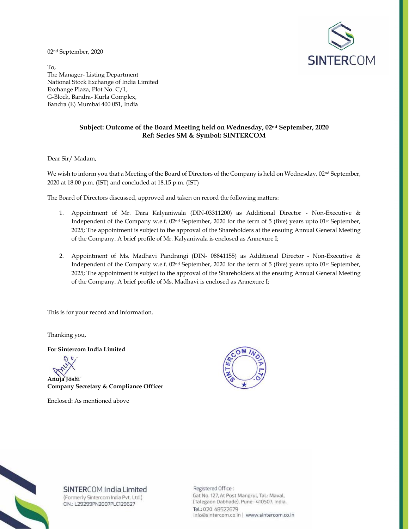02nd September, 2020



To, The Manager- Listing Department National Stock Exchange of India Limited Exchange Plaza, Plot No. C/1, G-Block, Bandra- Kurla Complex, Bandra (E) Mumbai 400 051, India

## **Subject: Outcome of the Board Meeting held on Wednesday, 02nd September, 2020 Ref: Series SM & Symbol: SINTERCOM**

Dear Sir/ Madam,

We wish to inform you that a Meeting of the Board of Directors of the Company is held on Wednesday, 02<sup>nd</sup> September, 2020 at 18.00 p.m. (IST) and concluded at 18.15 p.m. (IST)

The Board of Directors discussed, approved and taken on record the following matters:

- 1. Appointment of Mr. Dara Kalyaniwala (DIN-03311200) as Additional Director Non-Executive & Independent of the Company w.e.f. 02nd September, 2020 for the term of 5 (five) years upto 01st September, 2025; The appointment is subject to the approval of the Shareholders at the ensuing Annual General Meeting of the Company. A brief profile of Mr. Kalyaniwala is enclosed as Annexure I;
- 2. Appointment of Ms. Madhavi Pandrangi (DIN- 08841155) as Additional Director Non-Executive & Independent of the Company w.e.f. 02nd September, 2020 for the term of 5 (five) years upto 01st September, 2025; The appointment is subject to the approval of the Shareholders at the ensuing Annual General Meeting of the Company. A brief profile of Ms. Madhavi is enclosed as Annexure I;

This is for your record and information.

Thanking you,

**For Sintercom India Limited** 

**Anuja Joshi Company Secretary & Compliance Officer** 

Enclosed: As mentioned above





SINTERCOM India Limited

(Formerly Sintercom India Pvt. Ltd.) CIN.: L29299PN2007PLC129627

Registered Office: Gat No. 127, At Post Mangrul, Tal.: Maval, (Talegaon Dabhade), Pune- 410507. India. Tel.: 020 48522679 info@sintercom.co.in | www.sintercom.co.in